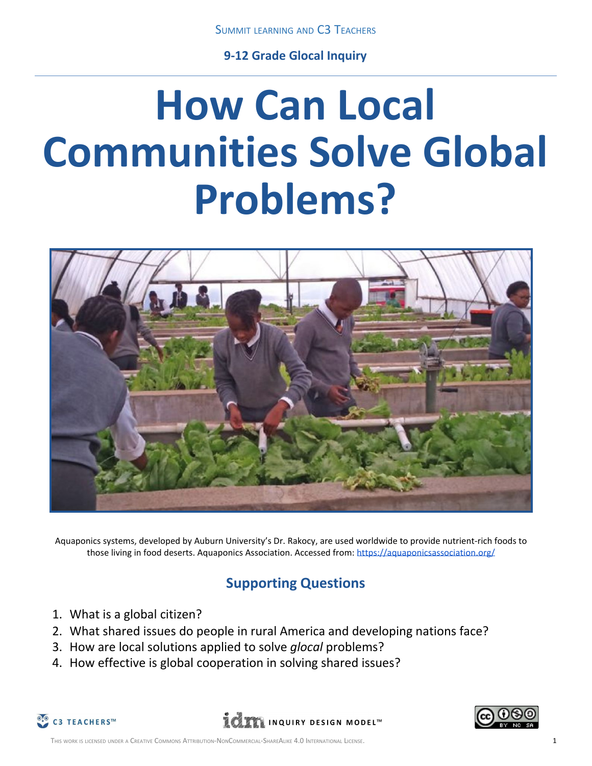**9-12 Grade Glocal Inquiry**

# **How Can Local Communities Solve Global Problems?**



Aquaponics systems, developed by Auburn University's Dr. Rakocy, are used worldwide to provide nutrient-rich foods to those living in food deserts. Aquaponics Association. Accessed from: <https://aquaponicsassociation.org/>

## **Supporting Questions**

- 1. What is a global citizen?
- 2. What shared issues do people in rural America and developing nations face?
- 3. How are local solutions applied to solve *glocal* problems?
- 4. How effective is global cooperation in solving shared issues?



**LETT INQUIRY DESIGN MODEL**<sup>M</sup>

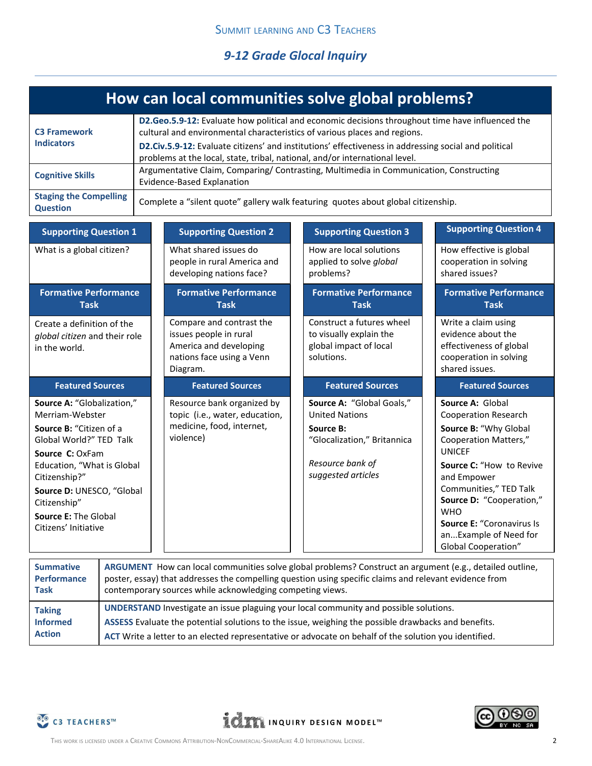*9-12 Grade Glocal Inquiry*

|                                                                                                                                                                                                                                                                           |                                                                                                                                                                                                                                                                                                                                                                      | How can local communities solve global problems?                                                                      |  |                                                                                                                                          |  |                                                                                                                                                                                                                                                                                                                                     |
|---------------------------------------------------------------------------------------------------------------------------------------------------------------------------------------------------------------------------------------------------------------------------|----------------------------------------------------------------------------------------------------------------------------------------------------------------------------------------------------------------------------------------------------------------------------------------------------------------------------------------------------------------------|-----------------------------------------------------------------------------------------------------------------------|--|------------------------------------------------------------------------------------------------------------------------------------------|--|-------------------------------------------------------------------------------------------------------------------------------------------------------------------------------------------------------------------------------------------------------------------------------------------------------------------------------------|
| <b>C3 Framework</b><br><b>Indicators</b>                                                                                                                                                                                                                                  | D2.Geo.5.9-12: Evaluate how political and economic decisions throughout time have influenced the<br>cultural and environmental characteristics of various places and regions.<br>D2.Civ.5.9-12: Evaluate citizens' and institutions' effectiveness in addressing social and political<br>problems at the local, state, tribal, national, and/or international level. |                                                                                                                       |  |                                                                                                                                          |  |                                                                                                                                                                                                                                                                                                                                     |
| <b>Cognitive Skills</b>                                                                                                                                                                                                                                                   |                                                                                                                                                                                                                                                                                                                                                                      | Argumentative Claim, Comparing/ Contrasting, Multimedia in Communication, Constructing<br>Evidence-Based Explanation  |  |                                                                                                                                          |  |                                                                                                                                                                                                                                                                                                                                     |
| <b>Staging the Compelling</b><br><b>Question</b>                                                                                                                                                                                                                          |                                                                                                                                                                                                                                                                                                                                                                      | Complete a "silent quote" gallery walk featuring quotes about global citizenship.                                     |  |                                                                                                                                          |  |                                                                                                                                                                                                                                                                                                                                     |
| <b>Supporting Question 1</b>                                                                                                                                                                                                                                              |                                                                                                                                                                                                                                                                                                                                                                      | <b>Supporting Question 2</b>                                                                                          |  | <b>Supporting Question 3</b>                                                                                                             |  | <b>Supporting Question 4</b>                                                                                                                                                                                                                                                                                                        |
| What is a global citizen?                                                                                                                                                                                                                                                 |                                                                                                                                                                                                                                                                                                                                                                      | What shared issues do<br>people in rural America and<br>developing nations face?                                      |  | How are local solutions<br>applied to solve global<br>problems?                                                                          |  | How effective is global<br>cooperation in solving<br>shared issues?                                                                                                                                                                                                                                                                 |
| <b>Formative Performance</b><br><b>Task</b>                                                                                                                                                                                                                               |                                                                                                                                                                                                                                                                                                                                                                      | <b>Formative Performance</b><br><b>Task</b>                                                                           |  | <b>Formative Performance</b><br><b>Task</b>                                                                                              |  | <b>Formative Performance</b><br><b>Task</b>                                                                                                                                                                                                                                                                                         |
| Create a definition of the<br>global citizen and their role<br>in the world.                                                                                                                                                                                              |                                                                                                                                                                                                                                                                                                                                                                      | Compare and contrast the<br>issues people in rural<br>America and developing<br>nations face using a Venn<br>Diagram. |  | Construct a futures wheel<br>to visually explain the<br>global impact of local<br>solutions.                                             |  | Write a claim using<br>evidence about the<br>effectiveness of global<br>cooperation in solving<br>shared issues.                                                                                                                                                                                                                    |
| <b>Featured Sources</b>                                                                                                                                                                                                                                                   |                                                                                                                                                                                                                                                                                                                                                                      | <b>Featured Sources</b>                                                                                               |  | <b>Featured Sources</b>                                                                                                                  |  | <b>Featured Sources</b>                                                                                                                                                                                                                                                                                                             |
| Source A: "Globalization,"<br>Merriam-Webster<br>Source B: "Citizen of a<br>Global World?" TED Talk<br>Source C: OxFam<br>Education, "What is Global<br>Citizenship?"<br>Source D: UNESCO, "Global<br>Citizenship"<br><b>Source E: The Global</b><br>Citizens' Initiative |                                                                                                                                                                                                                                                                                                                                                                      | Resource bank organized by<br>topic (i.e., water, education,<br>medicine, food, internet,<br>violence)                |  | Source A: "Global Goals,"<br><b>United Nations</b><br>Source B:<br>"Glocalization," Britannica<br>Resource bank of<br>suggested articles |  | Source A: Global<br><b>Cooperation Research</b><br>Source B: "Why Global<br><b>Cooperation Matters,"</b><br><b>UNICEF</b><br>Source C: "How to Revive<br>and Empower<br>Communities," TED Talk<br>Source D: "Cooperation,"<br><b>WHO</b><br><b>Source E: "Coronavirus Is</b><br>anExample of Need for<br><b>Global Cooperation"</b> |

| <b>Summative</b><br><b>Performance</b><br>Task | ARGUMENT How can local communities solve global problems? Construct an argument (e.g., detailed outline,<br>poster, essay) that addresses the compelling question using specific claims and relevant evidence from<br>contemporary sources while acknowledging competing views. |
|------------------------------------------------|---------------------------------------------------------------------------------------------------------------------------------------------------------------------------------------------------------------------------------------------------------------------------------|
| <b>Taking</b>                                  | UNDERSTAND Investigate an issue plaguing your local community and possible solutions.                                                                                                                                                                                           |
| <b>Informed</b>                                | ASSESS Evaluate the potential solutions to the issue, weighing the possible drawbacks and benefits.                                                                                                                                                                             |
| <b>Action</b>                                  | ACT Write a letter to an elected representative or advocate on behalf of the solution you identified.                                                                                                                                                                           |



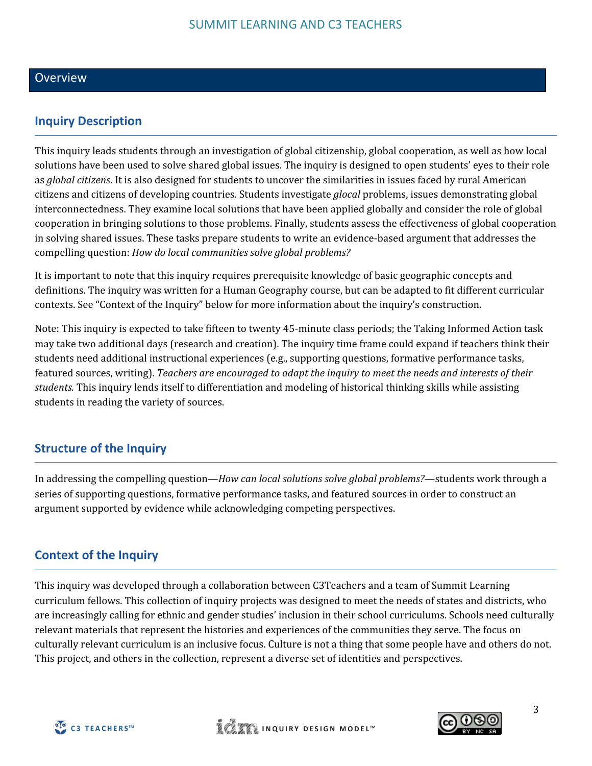#### **Overview**

## **Inquiry Description**

This inquiry leads students through an investigation of global citizenship, global cooperation, as well as how local solutions have been used to solve shared global issues. The inquiry is designed to open students' eyes to their role as *global citizens*. It is also designed for students to uncover the similarities in issues faced by rural American citizens and citizens of developing countries. Students investigate *glocal* problems, issues demonstrating global interconnectedness. They examine local solutions that have been applied globally and consider the role of global cooperation in bringing solutions to those problems. Finally, students assess the effectiveness of global cooperation in solving shared issues. These tasks prepare students to write an evidence-based argument that addresses the compelling question: *How do local communities solve global problems?*

It is important to note that this inquiry requires prerequisite knowledge of basic geographic concepts and definitions. The inquiry was written for a Human Geography course, but can be adapted to fit different curricular contexts. See "Context of the Inquiry" below for more information about the inquiry's construction.

Note: This inquiry is expected to take fifteen to twenty 45-minute class periods; the Taking Informed Action task may take two additional days (research and creation). The inquiry time frame could expand if teachers think their students need additional instructional experiences (e.g., supporting questions, formative performance tasks, featured sources, writing). *Teachers are encouraged to adapt the inquiry to meet the needs and interests of their students.* This inquiry lends itself to differentiation and modeling of historical thinking skills while assisting students in reading the variety of sources.

#### **Structure of the Inquiry**

In addressing the compelling question—*How can local solutions solve global problems?*—students work through a series of supporting questions, formative performance tasks, and featured sources in order to construct an argument supported by evidence while acknowledging competing perspectives.

## **Context of the Inquiry**

This inquiry was developed through a collaboration between C3Teachers and a team of Summit Learning curriculum fellows. This collection of inquiry projects was designed to meet the needs of states and districts, who are increasingly calling for ethnic and gender studies' inclusion in their school curriculums. Schools need culturally relevant materials that represent the histories and experiences of the communities they serve. The focus on culturally relevant curriculum is an inclusive focus. Culture is not a thing that some people have and others do not. This project, and others in the collection, represent a diverse set of identities and perspectives.



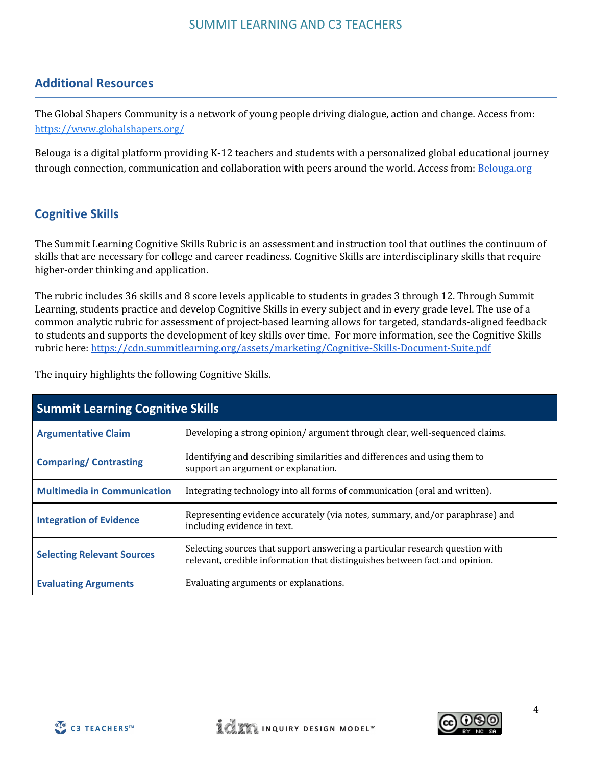## **Additional Resources**

The Global Shapers Community is a network of young people driving dialogue, action and change. Access from: <https://www.globalshapers.org/>

Belouga is a digital platform providing K-12 teachers and students with a personalized global educational journey through connection, communication and collaboration with peers around the world. Access from: [Belouga.org](http://belouga.org/)

## **Cognitive Skills**

The Summit Learning Cognitive Skills Rubric is an assessment and instruction tool that outlines the continuum of skills that are necessary for college and career readiness. Cognitive Skills are interdisciplinary skills that require higher-order thinking and application.

The rubric includes 36 skills and 8 score levels applicable to students in grades 3 through 12. Through Summit Learning, students practice and develop Cognitive Skills in every subject and in every grade level. The use of a common analytic rubric for assessment of project-based learning allows for targeted, standards-aligned feedback to students and supports the development of key skills over time. For more information, see the Cognitive Skills rubric here: <https://cdn.summitlearning.org/assets/marketing/Cognitive-Skills-Document-Suite.pdf>

The inquiry highlights the following Cognitive Skills.

| <b>Summit Learning Cognitive Skills</b> |                                                                                                                                                             |  |  |
|-----------------------------------------|-------------------------------------------------------------------------------------------------------------------------------------------------------------|--|--|
| <b>Argumentative Claim</b>              | Developing a strong opinion/argument through clear, well-sequenced claims.                                                                                  |  |  |
| <b>Comparing/Contrasting</b>            | Identifying and describing similarities and differences and using them to<br>support an argument or explanation.                                            |  |  |
| <b>Multimedia in Communication</b>      | Integrating technology into all forms of communication (oral and written).                                                                                  |  |  |
| <b>Integration of Evidence</b>          | Representing evidence accurately (via notes, summary, and/or paraphrase) and<br>including evidence in text.                                                 |  |  |
| <b>Selecting Relevant Sources</b>       | Selecting sources that support answering a particular research question with<br>relevant, credible information that distinguishes between fact and opinion. |  |  |
| <b>Evaluating Arguments</b>             | Evaluating arguments or explanations.                                                                                                                       |  |  |



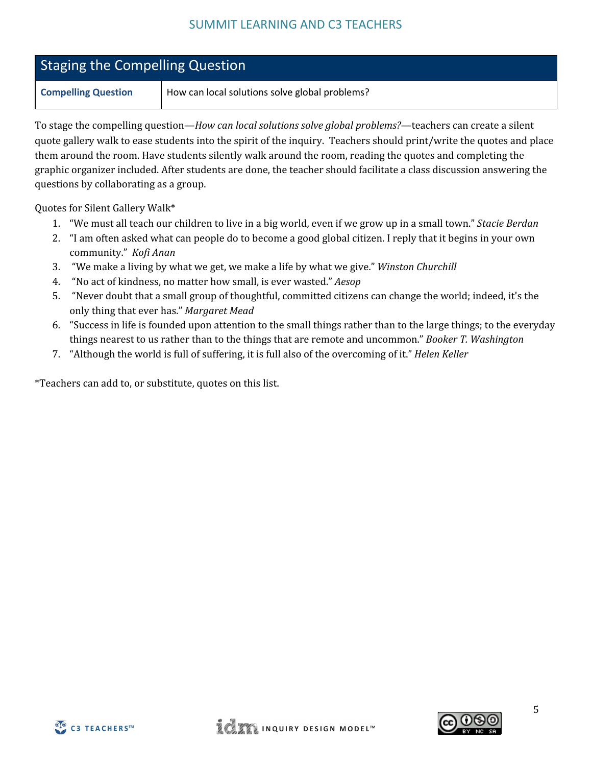| <b>Staging the Compelling Question</b> |                                                |  |
|----------------------------------------|------------------------------------------------|--|
| <b>Compelling Question</b>             | How can local solutions solve global problems? |  |

To stage the compelling question—*How can local solutions solve global problems?*—teachers can create a silent quote gallery walk to ease students into the spirit of the inquiry. Teachers should print/write the quotes and place them around the room. Have students silently walk around the room, reading the quotes and completing the graphic organizer included. After students are done, the teacher should facilitate a class discussion answering the questions by collaborating as a group.

Quotes for Silent Gallery Walk\*

- 1. "We must all teach our children to live in a big world, even if we grow up in a small town." *Stacie Berdan*
- 2. "I am often asked what can people do to become a good global citizen. I reply that it begins in your own community." *Kofi Anan*
- 3. "We make a living by what we get, we make a life by what we give." *Winston Churchill*
- 4. "No act of kindness, no matter how small, is ever wasted." *Aesop*
- 5. "Never doubt that a small group of thoughtful, committed citizens can change the world; indeed, it's the only thing that ever has." *Margaret Mead*
- 6. "Success in life is founded upon attention to the small things rather than to the large things; to the everyday things nearest to us rather than to the things that are remote and uncommon." *Booker T. Washington*
- 7. "Although the world is full of suffering, it is full also of the overcoming of it." *Helen Keller*

\*Teachers can add to, or substitute, quotes on this list.



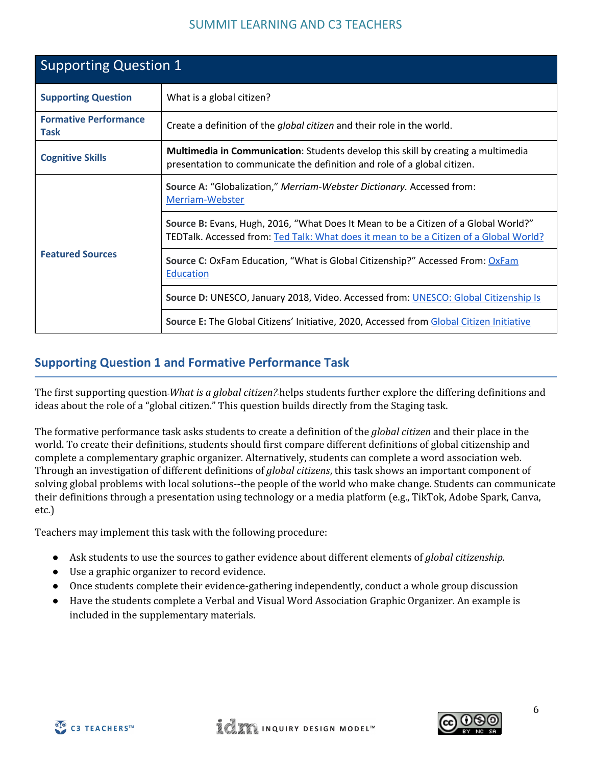| <b>Supporting Question 1</b>                |                                                                                                                                                                               |  |
|---------------------------------------------|-------------------------------------------------------------------------------------------------------------------------------------------------------------------------------|--|
| <b>Supporting Question</b>                  | What is a global citizen?                                                                                                                                                     |  |
| <b>Formative Performance</b><br><b>Task</b> | Create a definition of the <i>global citizen</i> and their role in the world.                                                                                                 |  |
| <b>Cognitive Skills</b>                     | <b>Multimedia in Communication:</b> Students develop this skill by creating a multimedia<br>presentation to communicate the definition and role of a global citizen.          |  |
|                                             | Source A: "Globalization," Merriam-Webster Dictionary. Accessed from:<br>Merriam-Webster                                                                                      |  |
|                                             | Source B: Evans, Hugh, 2016, "What Does It Mean to be a Citizen of a Global World?"<br>TEDTalk. Accessed from: Ted Talk: What does it mean to be a Citizen of a Global World? |  |
| <b>Featured Sources</b>                     | <b>Source C: OxFam Education, "What is Global Citizenship?" Accessed From: OxFam</b><br><b>Education</b>                                                                      |  |
|                                             | Source D: UNESCO, January 2018, Video. Accessed from: UNESCO: Global Citizenship Is                                                                                           |  |
|                                             | Source E: The Global Citizens' Initiative, 2020, Accessed from Global Citizen Initiative                                                                                      |  |

## **Supporting Question 1 and Formative Performance Task**

The first supporting question﹣*What is a global citizen?*﹣helps students further explore the differing definitions and ideas about the role of a "global citizen." This question builds directly from the Staging task.

The formative performance task asks students to create a definition of the *global citizen* and their place in the world. To create their definitions, students should first compare different definitions of global citizenship and complete a complementary graphic organizer. Alternatively, students can complete a word association web. Through an investigation of different definitions of *global citizens*, this task shows an important component of solving global problems with local solutions--the people of the world who make change. Students can communicate their definitions through a presentation using technology or a media platform (e.g., TikTok, Adobe Spark, Canva, etc.)

Teachers may implement this task with the following procedure:

- Ask students to use the sources to gather evidence about different elements of *global citizenship.*
- Use a graphic organizer to record evidence.
- Once students complete their evidence-gathering independently, conduct a whole group discussion
- Have the students complete a Verbal and Visual Word Association Graphic Organizer. An example is included in the supplementary materials.

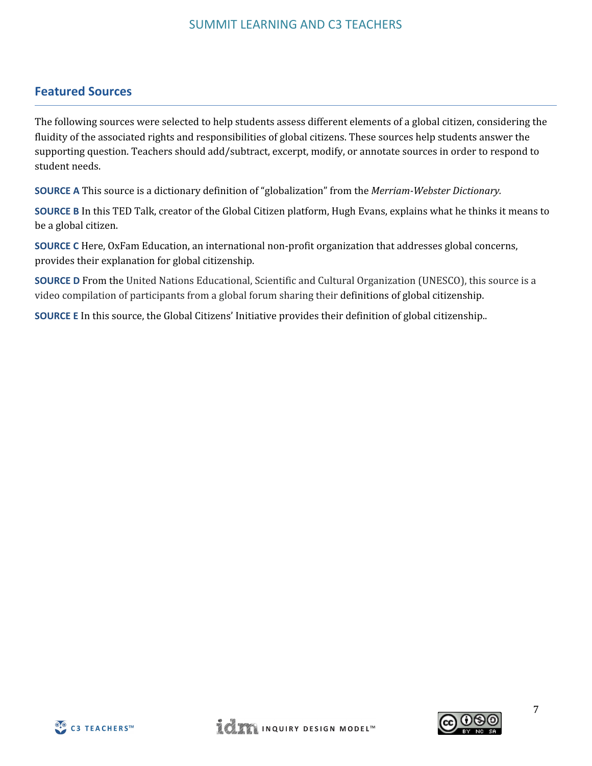## **Featured Sources**

The following sources were selected to help students assess different elements of a global citizen, considering the fluidity of the associated rights and responsibilities of global citizens. These sources help students answer the supporting question. Teachers should add/subtract, excerpt, modify, or annotate sources in order to respond to student needs.

**SOURCE A** This source is a dictionary definition of "globalization" from the *Merriam-Webster Dictionary.*

**SOURCE B** In this TED Talk, creator of the Global Citizen platform, Hugh Evans, explains what he thinks it means to be a global citizen.

**SOURCE C** Here, OxFam Education, an international non-profit organization that addresses global concerns, provides their explanation for global citizenship.

**SOURCE D** From the United Nations Educational, Scientific and Cultural Organization (UNESCO), this source is a video compilation of participants from a global forum sharing their definitions of global citizenship.

**SOURCE E** In this source, the Global Citizens' Initiative provides their definition of global citizenship..



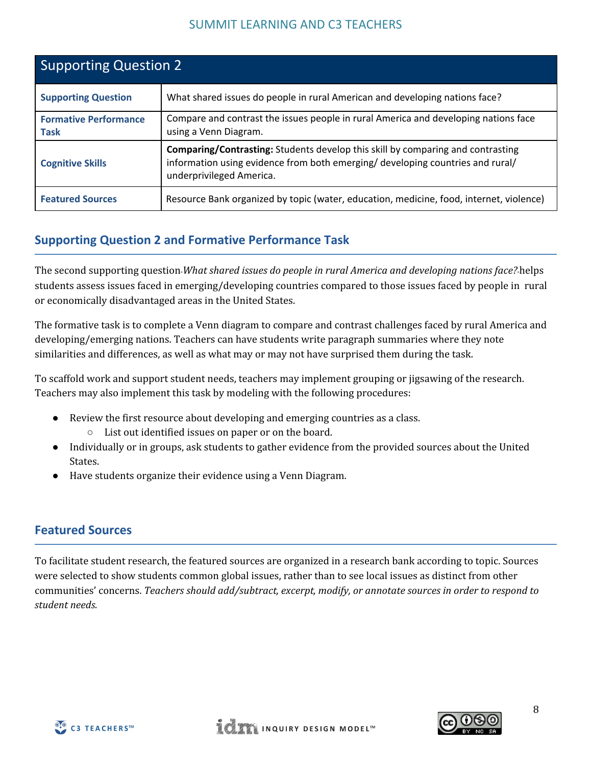| <b>Supporting Question 2</b>                |                                                                                                                                                                                                      |  |
|---------------------------------------------|------------------------------------------------------------------------------------------------------------------------------------------------------------------------------------------------------|--|
| <b>Supporting Question</b>                  | What shared issues do people in rural American and developing nations face?                                                                                                                          |  |
| <b>Formative Performance</b><br><b>Task</b> | Compare and contrast the issues people in rural America and developing nations face<br>using a Venn Diagram.                                                                                         |  |
| <b>Cognitive Skills</b>                     | <b>Comparing/Contrasting:</b> Students develop this skill by comparing and contrasting<br>information using evidence from both emerging/ developing countries and rural/<br>underprivileged America. |  |
| <b>Featured Sources</b>                     | Resource Bank organized by topic (water, education, medicine, food, internet, violence)                                                                                                              |  |

## **Supporting Question 2 and Formative Performance Task**

The second supporting question﹣*What shared issues do people in rural America and developing nations face?*﹣helps students assess issues faced in emerging/developing countries compared to those issues faced by people in rural or economically disadvantaged areas in the United States.

The formative task is to complete a Venn diagram to compare and contrast challenges faced by rural America and developing/emerging nations. Teachers can have students write paragraph summaries where they note similarities and differences, as well as what may or may not have surprised them during the task.

To scaffold work and support student needs, teachers may implement grouping or jigsawing of the research. Teachers may also implement this task by modeling with the following procedures:

- Review the first resource about developing and emerging countries as a class.
	- List out identified issues on paper or on the board.
- Individually or in groups, ask students to gather evidence from the provided sources about the United States.
- Have students organize their evidence using a Venn Diagram.

#### **Featured Sources**

To facilitate student research, the featured sources are organized in a research bank according to topic. Sources were selected to show students common global issues, rather than to see local issues as distinct from other communities' concerns. *Teachers should add/subtract, excerpt, modify, or annotate sources in order to respond to student needs.*



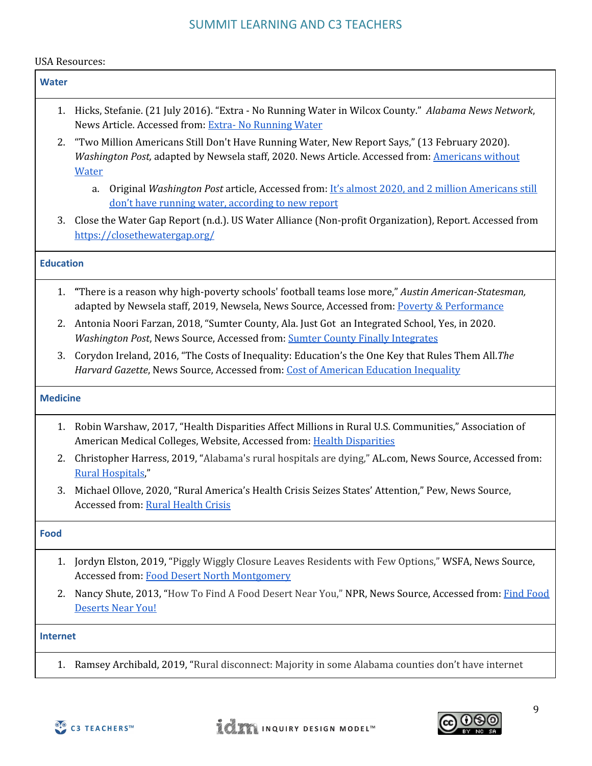#### USA Resources:

| <b>Water</b>     |                                                                                                                                                                                                                 |
|------------------|-----------------------------------------------------------------------------------------------------------------------------------------------------------------------------------------------------------------|
| 1.               | Hicks, Stefanie. (21 July 2016). "Extra - No Running Water in Wilcox County." Alabama News Network,<br>News Article. Accessed from: Extra- No Running Water                                                     |
| 2.               | "Two Million Americans Still Don't Have Running Water, New Report Says," (13 February 2020).<br>Washington Post, adapted by Newsela staff, 2020. News Article. Accessed from: Americans without<br><b>Water</b> |
|                  | Original Washington Post article, Accessed from: It's almost 2020, and 2 million Americans still<br>a.<br>don't have running water, according to new report                                                     |
| 3.               | Close the Water Gap Report (n.d.). US Water Alliance (Non-profit Organization), Report. Accessed from<br>https://closethewatergap.org/                                                                          |
| <b>Education</b> |                                                                                                                                                                                                                 |
| 1.               | "There is a reason why high-poverty schools' football teams lose more," Austin American-Statesman,<br>adapted by Newsela staff, 2019, Newsela, News Source, Accessed from: Poverty & Performance                |
| 2.               | Antonia Noori Farzan, 2018, "Sumter County, Ala. Just Got an Integrated School, Yes, in 2020.<br>Washington Post, News Source, Accessed from: Sumter County Finally Integrates                                  |
| 3.               | Corydon Ireland, 2016, "The Costs of Inequality: Education's the One Key that Rules Them All. The<br>Harvard Gazette, News Source, Accessed from: Cost of American Education Inequality                         |
| <b>Medicine</b>  |                                                                                                                                                                                                                 |
| 1.               | Robin Warshaw, 2017, "Health Disparities Affect Millions in Rural U.S. Communities," Association of<br>American Medical Colleges, Website, Accessed from: Health Disparities                                    |
| 2.               | Christopher Harress, 2019, "Alabama's rural hospitals are dying," AL.com, News Source, Accessed from:<br><b>Rural Hospitals,"</b>                                                                               |
| 3.               | Michael Ollove, 2020, "Rural America's Health Crisis Seizes States' Attention," Pew, News Source,<br>Accessed from: Rural Health Crisis                                                                         |
| <b>Food</b>      |                                                                                                                                                                                                                 |
| 1.               | Jordyn Elston, 2019, "Piggly Wiggly Closure Leaves Residents with Few Options," WSFA, News Source,<br><b>Accessed from: Food Desert North Montgomery</b>                                                        |
| 2.               | Nancy Shute, 2013, "How To Find A Food Desert Near You," NPR, News Source, Accessed from: Find Food<br>Deserts Near You!                                                                                        |
| <b>Internet</b>  |                                                                                                                                                                                                                 |
| 1.               | Ramsey Archibald, 2019, "Rural disconnect: Majority in some Alabama counties don't have internet                                                                                                                |



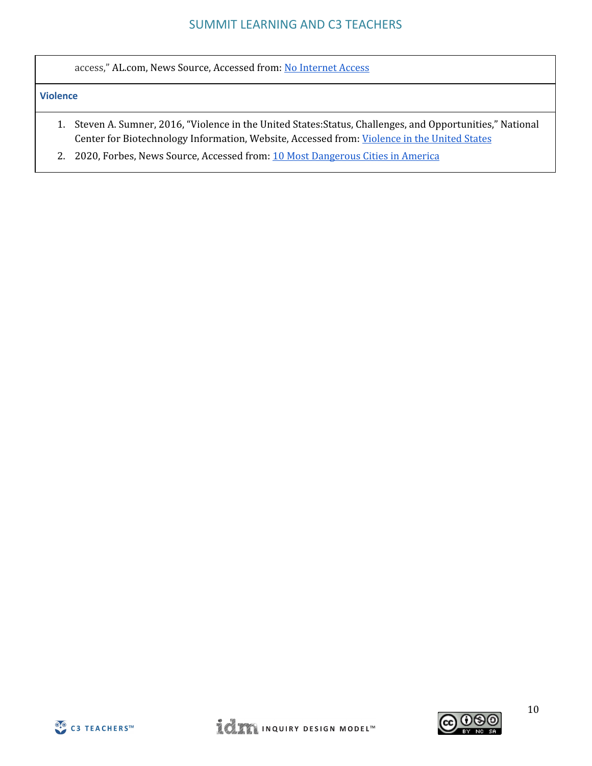access," AL.com, News Source, Accessed from: No [Internet](https://www.al.com/news/2019/12/rural-disconnect-majority-in-some-alabama-counties-dont-have-internet-access.html) Access

#### **Violence**

- 1. Steven A. Sumner, 2016, "Violence in the United States:Status, Challenges, and Opportunities," National Center for Biotechnology Information, Website, Accessed from: [Violence](https://www.ncbi.nlm.nih.gov/pmc/articles/PMC4692168/) in the United States
- 2. 2020, Forbes, News Source, Accessed from: 10 Most [Dangerous](https://www.forbes.com/pictures/mlj45jggj/6-atlanta/#1b52cc34f678) Cities in America



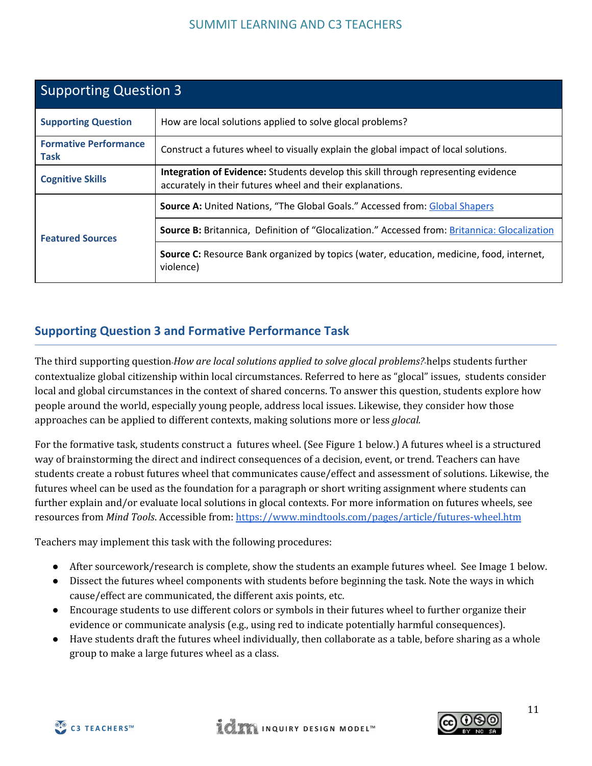| <b>Supporting Question 3</b>                |                                                                                                                                                 |  |  |
|---------------------------------------------|-------------------------------------------------------------------------------------------------------------------------------------------------|--|--|
| <b>Supporting Question</b>                  | How are local solutions applied to solve glocal problems?                                                                                       |  |  |
| <b>Formative Performance</b><br><b>Task</b> | Construct a futures wheel to visually explain the global impact of local solutions.                                                             |  |  |
| <b>Cognitive Skills</b>                     | Integration of Evidence: Students develop this skill through representing evidence<br>accurately in their futures wheel and their explanations. |  |  |
|                                             | <b>Source A: United Nations, "The Global Goals." Accessed from: Global Shapers</b>                                                              |  |  |
| <b>Featured Sources</b>                     | <b>Source B:</b> Britannica, Definition of "Glocalization." Accessed from: Britannica: Glocalization                                            |  |  |
|                                             | <b>Source C:</b> Resource Bank organized by topics (water, education, medicine, food, internet,<br>violence)                                    |  |  |

## **Supporting Question 3 and Formative Performance Task**

The third supporting question﹣*How are local solutions applied to solve glocal problems?*﹣helps students further contextualize global citizenship within local circumstances. Referred to here as "glocal" issues, students consider local and global circumstances in the context of shared concerns. To answer this question, students explore how people around the world, especially young people, address local issues. Likewise, they consider how those approaches can be applied to different contexts, making solutions more or less *glocal.*

For the formative task, students construct a futures wheel. (See Figure 1 below.) A futures wheel is a structured way of brainstorming the direct and indirect consequences of a decision, event, or trend. Teachers can have students create a robust futures wheel that communicates cause/effect and assessment of solutions. Likewise, the futures wheel can be used as the foundation for a paragraph or short writing assignment where students can further explain and/or evaluate local solutions in glocal contexts. For more information on futures wheels, see resources from *Mind Tools*. Accessible from: <https://www.mindtools.com/pages/article/futures-wheel.htm>

Teachers may implement this task with the following procedures:

- After sourcework/research is complete, show the students an example futures wheel. See Image 1 below.
- Dissect the futures wheel components with students before beginning the task. Note the ways in which cause/effect are communicated, the different axis points, etc.
- Encourage students to use different colors or symbols in their futures wheel to further organize their evidence or communicate analysis (e.g., using red to indicate potentially harmful consequences).
- Have students draft the futures wheel individually, then collaborate as a table, before sharing as a whole group to make a large futures wheel as a class.



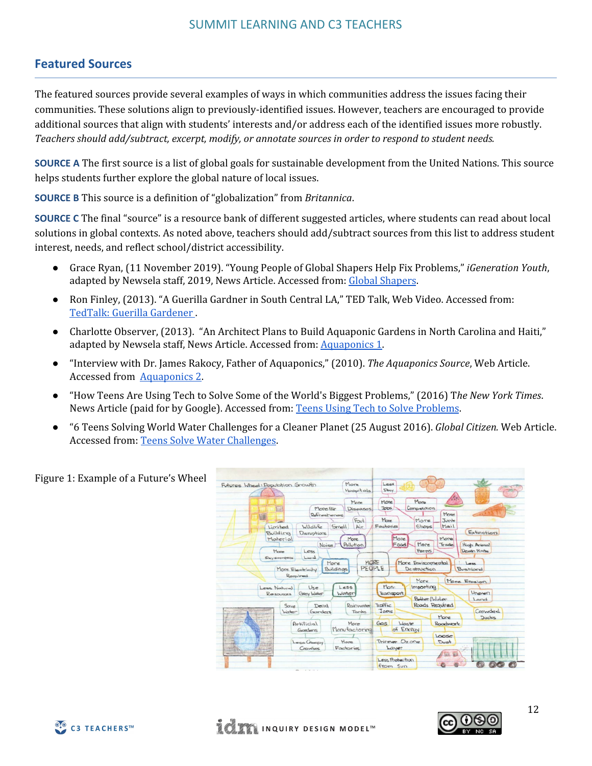## **Featured Sources**

The featured sources provide several examples of ways in which communities address the issues facing their communities. These solutions align to previously-identified issues. However, teachers are encouraged to provide additional sources that align with students' interests and/or address each of the identified issues more robustly. *Teachers should add/subtract, excerpt, modify, or annotate sources in order to respond to student needs.*

**SOURCE A** The first source is a list of global goals for sustainable development from the United Nations. This source helps students further explore the global nature of local issues.

**SOURCE B** This source is a definition of "globalization" from *Britannica*.

**SOURCE C** The final "source" is a resource bank of different suggested articles, where students can read about local solutions in global contexts. As noted above, teachers should add/subtract sources from this list to address student interest, needs, and reflect school/district accessibility.

- Grace Ryan, (11 November 2019). "Young People of Global Shapers Help Fix Problems," *iGeneration Youth*, adapted by Newsela staff, 2019, News Article. Accessed from: Global [Shapers](https://newsela.com/read/global-shapers-community/id/2000001564/?search_id=eab6982c-8d35-408a-b938-2b5f5b9cf2c6).
- Ron Finley, (2013). "A Guerilla Gardner in South Central LA," TED Talk, Web Video. Accessed from: TedTalk: Guerilla [Gardener](https://www.ted.com/talks/ron_finley_a_guerrilla_gardener_in_south_central_la/transcript) .
- Charlotte Observer, (2013). "An Architect Plans to Build Aquaponic Gardens in North Carolina and Haiti," adapted by Newsela staff, News Article. Accessed from: [Aquaponics](https://newsela.com/read/water-farming/id/846/?search_id=65705a13-169e-445a-9c87-513ec6738bc5) 1.
- "Interview with Dr. James Rakocy, Father of Aquaponics," (2010). *The Aquaponics Source*, Web Article. Accessed from [Aquaponics](https://www.theaquaponicsource.com/interview-with-dr-james-rakocy-father-of-aquaponics/) 2.
- "How Teens Are Using Tech to Solve Some of the World's Biggest Problems," (2016) T*he New York Times*. News Article (paid for by Google). Accessed from: Teens Using Tech to Solve [Problems](https://www.nytimes.com/paidpost/google/how-teens-are-using-tech-to-solve-some-of-the-worlds-biggest-problems.html).
- "6 Teens Solving World Water Challenges for a Cleaner Planet (25 August 2016). *Global Citizen.* Web Article. Accessed from: Teens Solve Water [Challenges.](https://www.globalcitizen.org/en/content/6-teenagers-solving-world-water-challenges/)



Figure 1: Example of a Future's Wheel

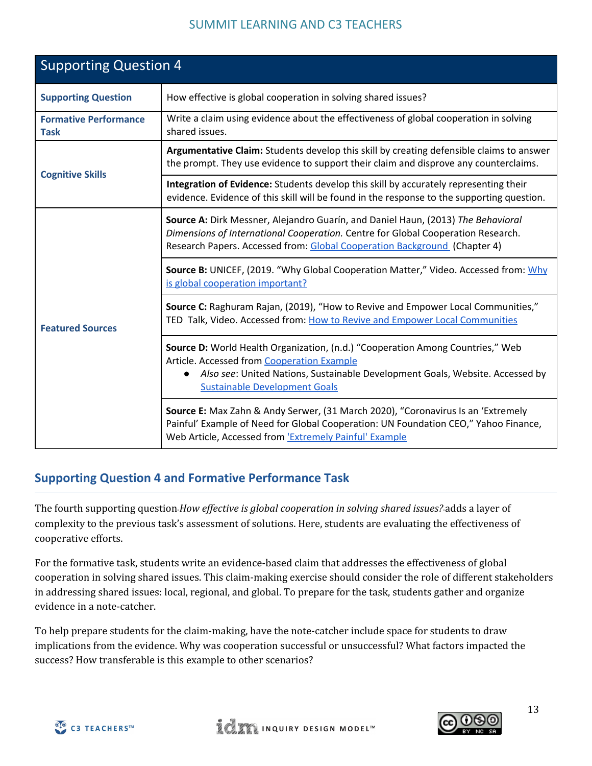| <b>Supporting Question 4</b>                |                                                                                                                                                                                                                                                                    |  |  |
|---------------------------------------------|--------------------------------------------------------------------------------------------------------------------------------------------------------------------------------------------------------------------------------------------------------------------|--|--|
| <b>Supporting Question</b>                  | How effective is global cooperation in solving shared issues?                                                                                                                                                                                                      |  |  |
| <b>Formative Performance</b><br><b>Task</b> | Write a claim using evidence about the effectiveness of global cooperation in solving<br>shared issues.                                                                                                                                                            |  |  |
| <b>Cognitive Skills</b>                     | Argumentative Claim: Students develop this skill by creating defensible claims to answer<br>the prompt. They use evidence to support their claim and disprove any counterclaims.                                                                                   |  |  |
|                                             | Integration of Evidence: Students develop this skill by accurately representing their<br>evidence. Evidence of this skill will be found in the response to the supporting question.                                                                                |  |  |
|                                             | Source A: Dirk Messner, Alejandro Guarín, and Daniel Haun, (2013) The Behavioral<br>Dimensions of International Cooperation. Centre for Global Cooperation Research.<br>Research Papers. Accessed from: Global Cooperation Background (Chapter 4)                  |  |  |
|                                             | Source B: UNICEF, (2019. "Why Global Cooperation Matter," Video. Accessed from: Why<br>is global cooperation important?                                                                                                                                            |  |  |
| <b>Featured Sources</b>                     | Source C: Raghuram Rajan, (2019), "How to Revive and Empower Local Communities,"<br>TED Talk, Video. Accessed from: How to Revive and Empower Local Communities                                                                                                    |  |  |
|                                             | Source D: World Health Organization, (n.d.) "Cooperation Among Countries," Web<br>Article. Accessed from Cooperation Example<br>Also see: United Nations, Sustainable Development Goals, Website. Accessed by<br>$\bullet$<br><b>Sustainable Development Goals</b> |  |  |
|                                             | Source E: Max Zahn & Andy Serwer, (31 March 2020), "Coronavirus Is an 'Extremely<br>Painful' Example of Need for Global Cooperation: UN Foundation CEO," Yahoo Finance,<br>Web Article, Accessed from 'Extremely Painful' Example                                  |  |  |

## **Supporting Question 4 and Formative Performance Task**

The fourth supporting question﹣*How ef ective is global cooperation in solving shared issues?*﹣adds a layer of complexity to the previous task's assessment of solutions. Here, students are evaluating the effectiveness of cooperative efforts.

For the formative task, students write an evidence-based claim that addresses the effectiveness of global cooperation in solving shared issues. This claim-making exercise should consider the role of different stakeholders in addressing shared issues: local, regional, and global. To prepare for the task, students gather and organize evidence in a note-catcher.

To help prepare students for the claim-making, have the note-catcher include space for students to draw implications from the evidence. Why was cooperation successful or unsuccessful? What factors impacted the success? How transferable is this example to other scenarios?



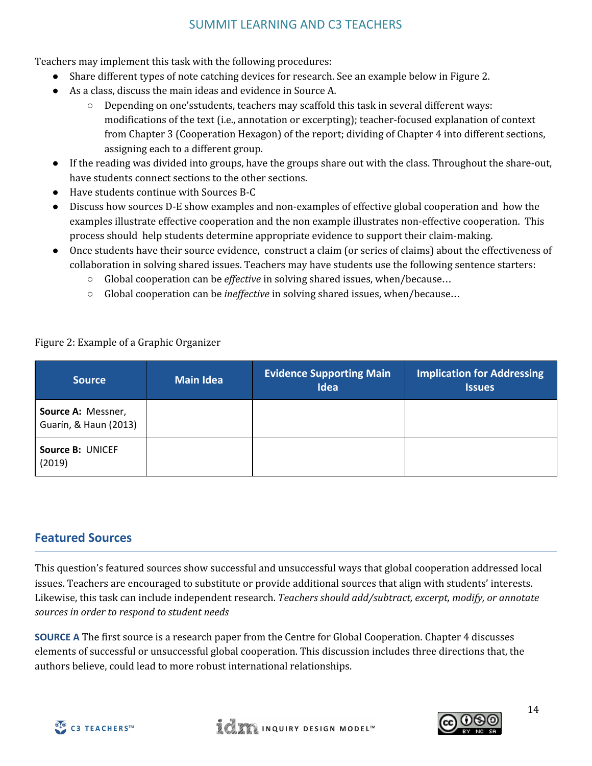Teachers may implement this task with the following procedures:

- Share different types of note catching devices for research. See an example below in Figure 2.
- As a class, discuss the main ideas and evidence in Source A.
	- Depending on one'sstudents, teachers may scaffold this task in several different ways: modifications of the text (i.e., annotation or excerpting); teacher-focused explanation of context from Chapter 3 (Cooperation Hexagon) of the report; dividing of Chapter 4 into different sections, assigning each to a different group.
- If the reading was divided into groups, have the groups share out with the class. Throughout the share-out, have students connect sections to the other sections.
- Have students continue with Sources B-C
- Discuss how sources D-E show examples and non-examples of effective global cooperation and how the examples illustrate effective cooperation and the non example illustrates non-effective cooperation. This process should help students determine appropriate evidence to support their claim-making.
- Once students have their source evidence, construct a claim (or series of claims) about the effectiveness of collaboration in solving shared issues. Teachers may have students use the following sentence starters:
	- Global cooperation can be *effective* in solving shared issues, when/because...
	- Global cooperation can be *inef ective* in solving shared issues, when/because…

| <b>Source</b>                               | <b>Main Idea</b> | <b>Evidence Supporting Main</b><br>Idea | <b>Implication for Addressing</b><br><b>Issues</b> |
|---------------------------------------------|------------------|-----------------------------------------|----------------------------------------------------|
| Source A: Messner,<br>Guarín, & Haun (2013) |                  |                                         |                                                    |
| <b>Source B: UNICEF</b><br>(2019)           |                  |                                         |                                                    |

Figure 2: Example of a Graphic Organizer

## **Featured Sources**

This question's featured sources show successful and unsuccessful ways that global cooperation addressed local issues. Teachers are encouraged to substitute or provide additional sources that align with students' interests. Likewise, this task can include independent research. *Teachers should add/subtract, excerpt, modify, or annotate sources in order to respond to student needs*

**SOURCE A** The first source is a research paper from the Centre for Global Cooperation. Chapter 4 discusses elements of successful or unsuccessful global cooperation. This discussion includes three directions that, the authors believe, could lead to more robust international relationships.



**WE THE INQUIRY DESIGN MODEL** 

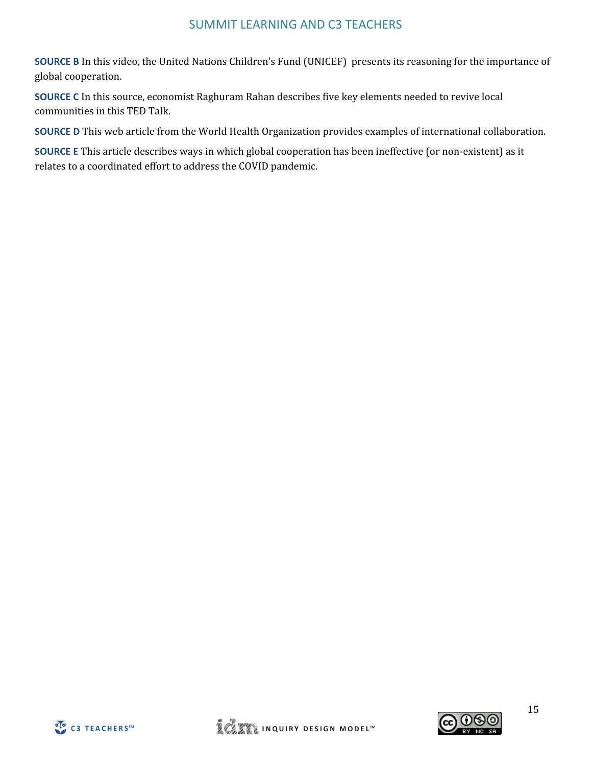**SOURCE B** In this video, the United Nations Children's Fund (UNICEF) presents its reasoning for the importance of global cooperation.

**SOURCE C** In this source, economist Raghuram Rahan describes five key elements needed to revive local communities in this TED Talk.

**SOURCE D** This web article from the World Health Organization provides examples of international collaboration.

**SOURCE E** This article describes ways in which global cooperation has been ineffective (or non-existent) as it relates to a coordinated effort to address the COVID pandemic.



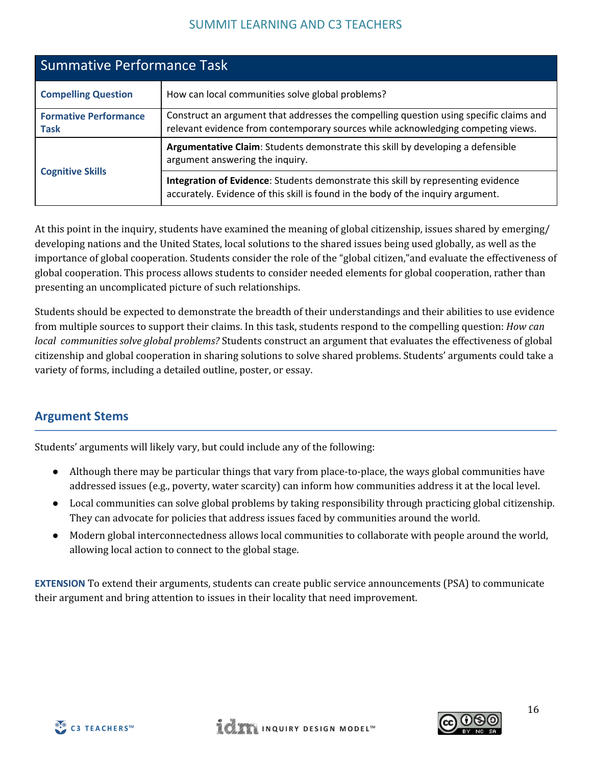| <b>Summative Performance Task</b>           |                                                                                                                                                                            |  |
|---------------------------------------------|----------------------------------------------------------------------------------------------------------------------------------------------------------------------------|--|
| <b>Compelling Question</b>                  | How can local communities solve global problems?                                                                                                                           |  |
| <b>Formative Performance</b><br><b>Task</b> | Construct an argument that addresses the compelling question using specific claims and<br>relevant evidence from contemporary sources while acknowledging competing views. |  |
| <b>Cognitive Skills</b>                     | Argumentative Claim: Students demonstrate this skill by developing a defensible<br>argument answering the inquiry.                                                         |  |
|                                             | Integration of Evidence: Students demonstrate this skill by representing evidence<br>accurately. Evidence of this skill is found in the body of the inquiry argument.      |  |

At this point in the inquiry, students have examined the meaning of global citizenship, issues shared by emerging/ developing nations and the United States, local solutions to the shared issues being used globally, as well as the importance of global cooperation. Students consider the role of the "global citizen,"and evaluate the effectiveness of global cooperation. This process allows students to consider needed elements for global cooperation, rather than presenting an uncomplicated picture of such relationships.

Students should be expected to demonstrate the breadth of their understandings and their abilities to use evidence from multiple sources to support their claims. In this task, students respond to the compelling question: *How can local communities solve global problems?* Students construct an argument that evaluates the effectiveness of global citizenship and global cooperation in sharing solutions to solve shared problems. Students' arguments could take a variety of forms, including a detailed outline, poster, or essay.

## **Argument Stems**

Students' arguments will likely vary, but could include any of the following:

- Although there may be particular things that vary from place-to-place, the ways global communities have addressed issues (e.g., poverty, water scarcity) can inform how communities address it at the local level.
- Local communities can solve global problems by taking responsibility through practicing global citizenship. They can advocate for policies that address issues faced by communities around the world.
- Modern global interconnectedness allows local communities to collaborate with people around the world, allowing local action to connect to the global stage.

**EXTENSION** To extend their arguments, students can create public service announcements (PSA) to communicate their argument and bring attention to issues in their locality that need improvement.



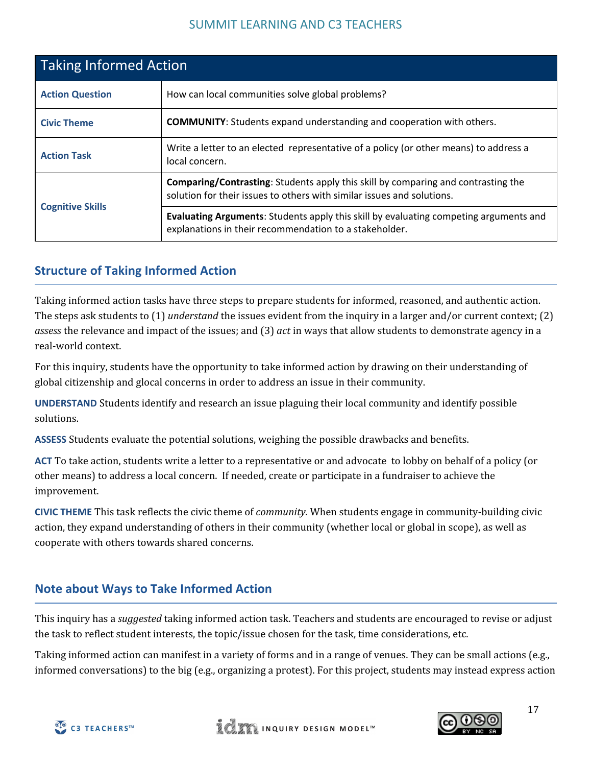| <b>Taking Informed Action</b>                                                                      |                                                                                                                                                                    |  |  |
|----------------------------------------------------------------------------------------------------|--------------------------------------------------------------------------------------------------------------------------------------------------------------------|--|--|
| <b>Action Question</b>                                                                             | How can local communities solve global problems?                                                                                                                   |  |  |
| <b>COMMUNITY:</b> Students expand understanding and cooperation with others.<br><b>Civic Theme</b> |                                                                                                                                                                    |  |  |
| <b>Action Task</b>                                                                                 | Write a letter to an elected representative of a policy (or other means) to address a<br>local concern.                                                            |  |  |
| <b>Cognitive Skills</b>                                                                            | <b>Comparing/Contrasting:</b> Students apply this skill by comparing and contrasting the<br>solution for their issues to others with similar issues and solutions. |  |  |
|                                                                                                    | <b>Evaluating Arguments:</b> Students apply this skill by evaluating competing arguments and<br>explanations in their recommendation to a stakeholder.             |  |  |

## **Structure of Taking Informed Action**

Taking informed action tasks have three steps to prepare students for informed, reasoned, and authentic action. The steps ask students to (1) *understand* the issues evident from the inquiry in a larger and/or current context; (2) *assess* the relevance and impact of the issues; and (3) *act* in ways that allow students to demonstrate agency in a real-world context.

For this inquiry, students have the opportunity to take informed action by drawing on their understanding of global citizenship and glocal concerns in order to address an issue in their community.

**UNDERSTAND** Students identify and research an issue plaguing their local community and identify possible solutions.

**ASSESS** Students evaluate the potential solutions, weighing the possible drawbacks and benefits.

**ACT** To take action, students write a letter to a representative or and advocate to lobby on behalf of a policy (or other means) to address a local concern. If needed, create or participate in a fundraiser to achieve the improvement.

**CIVIC THEME** This task reflects the civic theme of *community.* When students engage in community-building civic action, they expand understanding of others in their community (whether local or global in scope), as well as cooperate with others towards shared concerns.

## **Note about Ways to Take Informed Action**

This inquiry has a *suggested* taking informed action task. Teachers and students are encouraged to revise or adjust the task to reflect student interests, the topic/issue chosen for the task, time considerations, etc.

Taking informed action can manifest in a variety of forms and in a range of venues. They can be small actions (e.g., informed conversations) to the big (e.g., organizing a protest). For this project, students may instead express action